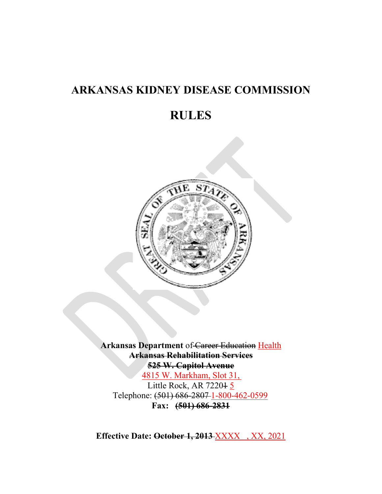# **ARKANSAS KIDNEY DISEASE COMMISSION**

# **RULES**



**Arkansas Department** of Career Education Health **Arkansas Rehabilitation Services 525 W. Capitol Avenue** 4815 W. Markham, Slot 31, Little Rock, AR 72201 5 Telephone: (501) 686-2807 1-800-462-0599 **Fax: (501) 686-2831**

**Effective Date: October 1, 2013** XXXX , XX, 2021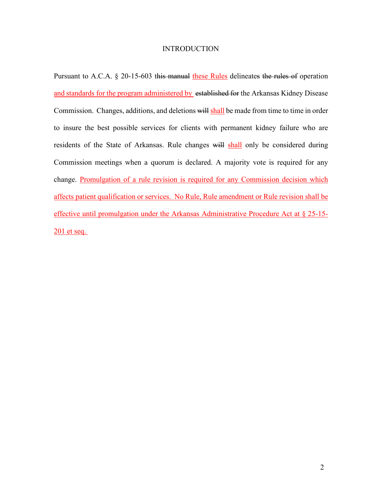#### **INTRODUCTION**

Pursuant to A.C.A. § 20-15-603 this manual these Rules delineates the rules of operation and standards for the program administered by established for the Arkansas Kidney Disease Commission. Changes, additions, and deletions will shall be made from time to time in order to insure the best possible services for clients with permanent kidney failure who are residents of the State of Arkansas. Rule changes will shall only be considered during Commission meetings when a quorum is declared. A majority vote is required for any change. Promulgation of a rule revision is required for any Commission decision which affects patient qualification or services. No Rule, Rule amendment or Rule revision shall be effective until promulgation under the Arkansas Administrative Procedure Act at § 25-15- 201 et seq.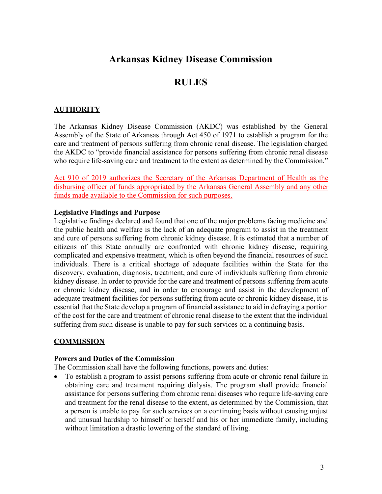## **Arkansas Kidney Disease Commission**

## **RULES**

## **AUTHORITY**

The Arkansas Kidney Disease Commission (AKDC) was established by the General Assembly of the State of Arkansas through Act 450 of 1971 to establish a program for the care and treatment of persons suffering from chronic renal disease. The legislation charged the AKDC to "provide financial assistance for persons suffering from chronic renal disease who require life-saving care and treatment to the extent as determined by the Commission."

Act 910 of 2019 authorizes the Secretary of the Arkansas Department of Health as the disbursing officer of funds appropriated by the Arkansas General Assembly and any other funds made available to the Commission for such purposes.

### **Legislative Findings and Purpose**

Legislative findings declared and found that one of the major problems facing medicine and the public health and welfare is the lack of an adequate program to assist in the treatment and cure of persons suffering from chronic kidney disease. It is estimated that a number of citizens of this State annually are confronted with chronic kidney disease, requiring complicated and expensive treatment, which is often beyond the financial resources of such individuals. There is a critical shortage of adequate facilities within the State for the discovery, evaluation, diagnosis, treatment, and cure of individuals suffering from chronic kidney disease. In order to provide for the care and treatment of persons suffering from acute or chronic kidney disease, and in order to encourage and assist in the development of adequate treatment facilities for persons suffering from acute or chronic kidney disease, it is essential that the State develop a program of financial assistance to aid in defraying a portion of the cost for the care and treatment of chronic renal disease to the extent that the individual suffering from such disease is unable to pay for such services on a continuing basis.

## **COMMISSION**

### **Powers and Duties of the Commission**

The Commission shall have the following functions, powers and duties:

• To establish a program to assist persons suffering from acute or chronic renal failure in obtaining care and treatment requiring dialysis. The program shall provide financial assistance for persons suffering from chronic renal diseases who require life-saving care and treatment for the renal disease to the extent, as determined by the Commission, that a person is unable to pay for such services on a continuing basis without causing unjust and unusual hardship to himself or herself and his or her immediate family, including without limitation a drastic lowering of the standard of living.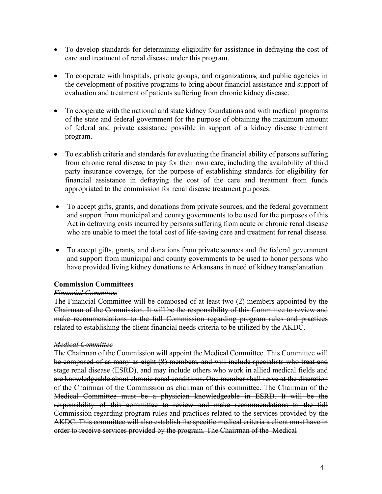- To develop standards for determining eligibility for assistance in defraying the cost of care and treatment of renal disease under this program.
- To cooperate with hospitals, private groups, and organizations, and public agencies in the development of positive programs to bring about financial assistance and support of evaluation and treatment of patients suffering from chronic kidney disease.
- To cooperate with the national and state kidney foundations and with medical programs of the state and federal government for the purpose of obtaining the maximum amount of federal and private assistance possible in support of a kidney disease treatment program.
- To establish criteria and standards for evaluating the financial ability of persons suffering from chronic renal disease to pay for their own care, including the availability of third party insurance coverage, for the purpose of establishing standards for eligibility for financial assistance in defraying the cost of the care and treatment from funds appropriated to the commission for renal disease treatment purposes.
- To accept gifts, grants, and donations from private sources, and the federal government and support from municipal and county governments to be used for the purposes of this Act in defraying costs incurred by persons suffering from acute or chronic renal disease who are unable to meet the total cost of life-saving care and treatment for renal disease.
- To accept gifts, grants, and donations from private sources and the federal government and support from municipal and county governments to be used to honor persons who have provided living kidney donations to Arkansans in need of kidney transplantation.

#### **Commission Committees**

#### *Financial Committee*

The Financial Committee will be composed of at least two (2) members appointed by the Chairman of the Commission. It will be the responsibility of this Committee to review and make recommendations to the full Commission regarding program rules and practices related to establishing the client financial needs criteria to be utilized by the AKDC.

#### *Medical Committee*

The Chairman of the Commission will appoint the Medical Committee. This Committee will be composed of as many as eight (8) members, and will include specialists who treat end stage renal disease (ESRD), and may include others who work in allied medical fields and are knowledgeable about chronic renal conditions. One member shall serve at the discretion of the Chairman of the Commission as chairman of this committee. The Chairman of the Medical Committee must be a physician knowledgeable in ESRD. It will be the responsibility of this committee to review and make recommendations to the full Commission regarding program rules and practices related to the services provided by the AKDC. This committee will also establish the specific medical criteria a client must have in order to receive services provided by the program. The Chairman of the Medical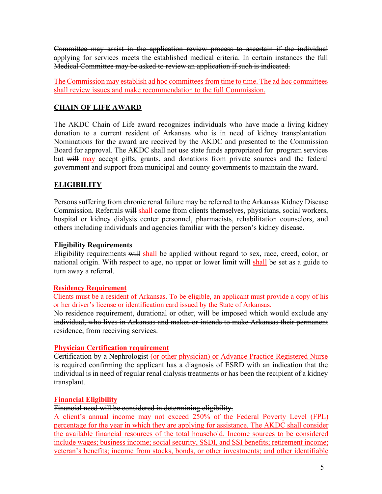Committee may assist in the application review process to ascertain if the individual applying for services meets the established medical criteria. In certain instances the full Medical Committee may be asked to review an application if such is indicated.

The Commission may establish ad hoc committees from time to time. The ad hoc committees shall review issues and make recommendation to the full Commission.

### **CHAIN OF LIFE AWARD**

The AKDC Chain of Life award recognizes individuals who have made a living kidney donation to a current resident of Arkansas who is in need of kidney transplantation. Nominations for the award are received by the AKDC and presented to the Commission Board for approval. The AKDC shall not use state funds appropriated for program services but will may accept gifts, grants, and donations from private sources and the federal government and support from municipal and county governments to maintain the award.

## **ELIGIBILITY**

Persons suffering from chronic renal failure may be referred to the Arkansas Kidney Disease Commission. Referrals will shall come from clients themselves, physicians, social workers, hospital or kidney dialysis center personnel, pharmacists, rehabilitation counselors, and others including individuals and agencies familiar with the person's kidney disease.

### **Eligibility Requirements**

Eligibility requirements will shall be applied without regard to sex, race, creed, color, or national origin. With respect to age, no upper or lower limit will shall be set as a guide to turn away a referral.

### **Residency Requirement**

Clients must be a resident of Arkansas. To be eligible, an applicant must provide a copy of his or her driver's license or identification card issued by the State of Arkansas. No residence requirement, durational or other, will be imposed which would exclude any

individual, who lives in Arkansas and makes or intends to make Arkansas their permanent residence, from receiving services.

### **Physician Certification requirement**

Certification by a Nephrologist (or other physician) or Advance Practice Registered Nurse is required confirming the applicant has a diagnosis of ESRD with an indication that the individual is in need of regular renal dialysis treatments or has been the recipient of a kidney transplant.

## **Financial Eligibility**

### Financial need will be considered in determining eligibility.

A client's annual income may not exceed 250% of the Federal Poverty Level (FPL) percentage for the year in which they are applying for assistance. The AKDC shall consider the available financial resources of the total household. Income sources to be considered include wages; business income; social security, SSDI, and SSI benefits; retirement income; veteran's benefits; income from stocks, bonds, or other investments; and other identifiable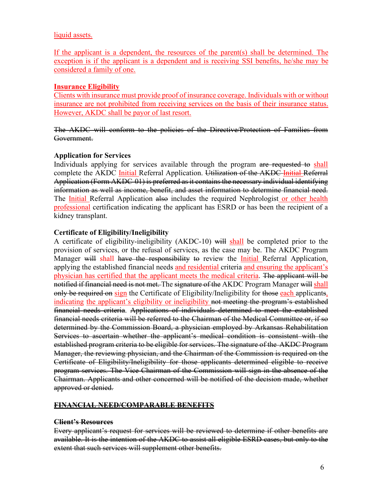#### liquid assets.

If the applicant is a dependent, the resources of the parent(s) shall be determined. The exception is if the applicant is a dependent and is receiving SSI benefits, he/she may be considered a family of one.

#### **Insurance Eligibility**

Clients with insurance must provide proof of insurance coverage. Individuals with or without insurance are not prohibited from receiving services on the basis of their insurance status. However, AKDC shall be payor of last resort.

The AKDC will conform to the policies of the Directive/Protection of Families from Government.

### **Application for Services**

Individuals applying for services available through the program are requested to shall complete the AKDC *Initial* Referral Application. Utilization of the AKDC *Initial Referral* Application (Form AKDC-01) is preferred as it contains the necessary individual identifying information as well as income, benefit, and asset information to determine financial need. The *Initial* Referral Application also includes the required Nephrologist or other health professional certification indicating the applicant has ESRD or has been the recipient of a kidney transplant.

### **Certificate of Eligibility/Ineligibility**

A certificate of eligibility-ineligibility (AKDC-10) will shall be completed prior to the provision of services, or the refusal of services, as the case may be. The AKDC Program Manager will shall have the responsibility to review the *Initial Referral Application*, applying the established financial needs and residential criteria and ensuring the applicant's physician has certified that the applicant meets the medical criteria. The applicant will be notified if financial need is not met. The signature of the AKDC Program Manager will shall only be required on sign the Certificate of Eligibility/Ineligibility for those each applicants, indicating the applicant's eligibility or ineligibility not meeting the program's established financial needs criteria. Applications of individuals determined to meet the established financial needs criteria will be referred to the Chairman of the Medical Committee or, if so determined by the Commission Board, a physician employed by Arkansas Rehabilitation Services to ascertain whether the applicant's medical condition is consistent with the established program criteria to be eligible for services. The signature of the AKDC Program Manager, the reviewing physician, and the Chairman of the Commission is required on the Certificate of Eligibility/Ineligibility for those applicants determined eligible to receive program services. The Vice-Chairman of the Commission will sign in the absence of the Chairman. Applicants and other concerned will be notified of the decision made, whether approved or denied.

### **FINANCIAL NEED/COMPARABLE BENEFITS**

### **Client's Resources**

Every applicant's request for services will be reviewed to determine if other benefits are available. It is the intention of the AKDC to assist all eligible ESRD cases, but only to the extent that such services will supplement other benefits.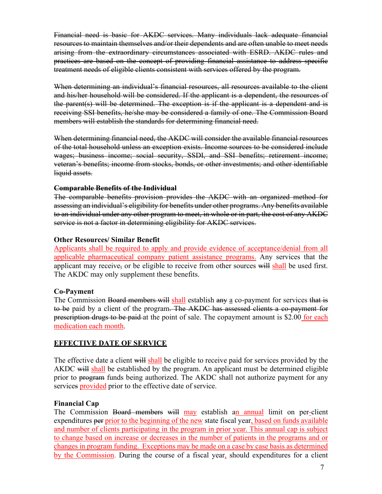Financial need is basic for AKDC services. Many individuals lack adequate financial resources to maintain themselves and/or their dependents and are often unable to meet needs arising from the extraordinary circumstances associated with ESRD. AKDC rules and practices are based on the concept of providing financial assistance to address specific treatment needs of eligible clients consistent with services offered by the program.

When determining an individual's financial resources, all resources available to the client and his/her household will be considered. If the applicant is a dependent, the resources of the parent(s) will be determined. The exception is if the applicant is a dependent and is receiving SSI benefits, he/she may be considered a family of one. The Commission Board members will establish the standards for determining financial need.

When determining financial need, the AKDC will consider the available financial resources of the total household unless an exception exists. Income sources to be considered include wages; business income; social security, SSDI, and SSI benefits; retirement income; veteran's benefits; income from stocks, bonds, or other investments; and other identifiable liquid assets.

#### **Comparable Benefits of the Individual**

The comparable benefits provision provides the AKDC with an organized method for assessing an individual's eligibility for benefits under other programs. Any benefits available to an individual under any other program to meet, in whole or in part, the cost of any AKDC service is not a factor in determining eligibility for AKDC services.

#### **Other Resources/ Similar Benefit**

Applicants shall be required to apply and provide evidence of acceptance/denial from all applicable pharmaceutical company patient assistance programs. Any services that the applicant may receive, or be eligible to receive from other sources will shall be used first. The AKDC may only supplement these benefits.

### **Co-Payment**

The Commission Board members will shall establish any a co-payment for services that is to be paid by a client of the program. The AKDC has assessed clients a co-payment for prescription drugs to be paid at the point of sale. The copayment amount is \$2.00 for each medication each month.

### **EFFECTIVE DATE OF SERVICE**

The effective date a client will shall be eligible to receive paid for services provided by the AKDC will shall be established by the program. An applicant must be determined eligible prior to program funds being authorized. The AKDC shall not authorize payment for any services **provided** prior to the effective date of service.

### **Financial Cap**

The Commission Board members will may establish an annual limit on per-client expenditures per prior to the beginning of the new state fiscal year, based on funds available and number of clients participating in the program in prior year. This annual cap is subject to change based on increase or decreases in the number of patients in the programs and or changes in program funding. Exceptions may be made on a case by case basis as determined by the Commission. During the course of a fiscal year, should expenditures for a client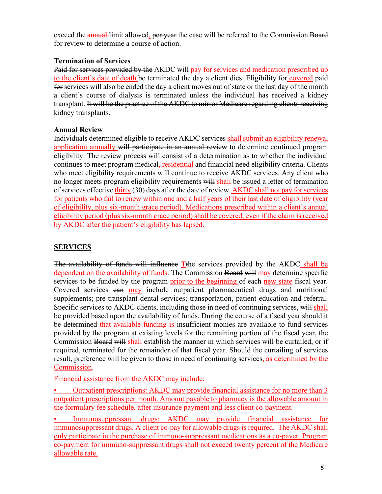exceed the **annual** limit allowed, per year the case will be referred to the Commission Board for review to determine a course of action.

### **Termination of Services**

Paid for services provided by the AKDC will pay for services and medication prescribed up to the client's date of death.be terminated the day a client dies. Eligibility for covered paid for services will also be ended the day a client moves out of state or the last day of the month a client's course of dialysis is terminated unless the individual has received a kidney transplant. It will be the practice of the AKDC to mirror Medicare regarding clients receiving kidney transplants.

### **Annual Review**

Individuals determined eligible to receive AKDC services shall submit an eligibility renewal application annually will participate in an annual review to determine continued program eligibility. The review process will consist of a determination as to whether the individual continues to meet program medical, residential and financial need eligibility criteria. Clients who meet eligibility requirements will continue to receive AKDC services. Any client who no longer meets program eligibility requirements will shall be issued a letter of termination of services effective thirty (30) days after the date of review. AKDC shall not pay for services for patients who fail to renew within one and a half years of their last date of eligibility (year of eligibility, plus six-month grace period). Medications prescribed within a client's annual eligibility period (plus six-month grace period) shall be covered, even if the claim is received by AKDC after the patient's eligibility has lapsed.

## **SERVICES**

The availability of funds will influence Tthe services provided by the AKDC shall be dependent on the availability of funds. The Commission Board will may determine specific services to be funded by the program prior to the beginning of each new state fiscal year. Covered services can may include outpatient pharmaceutical drugs and nutritional supplements; pre-transplant dental services; transportation, patient education and referral. Specific services to AKDC clients, including those in need of continuing services, will shall be provided based upon the availability of funds. During the course of a fiscal year should it be determined that available funding is insufficient monies are available to fund services provided by the program at existing levels for the remaining portion of the fiscal year, the Commission Board will shall establish the manner in which services will be curtailed, or if required, terminated for the remainder of that fiscal year. Should the curtailing of services result, preference will be given to those in need of continuing services, as determined by the Commission.

Financial assistance from the AKDC may include:

• Outpatient prescriptions: AKDC may provide financial assistance for no more than 3 outpatient prescriptions per month. Amount payable to pharmacy is the allowable amount in the formulary fee schedule, after insurance payment and less client co-payment.

• Immunosuppressant drugs: AKDC may provide financial assistance for immunosuppressant drugs. A client co-pay for allowable drugs is required. The AKDC shall only participate in the purchase of immuno-suppressant medications as a co-payer. Program co-payment for immuno-suppressant drugs shall not exceed twenty percent of the Medicare allowable rate.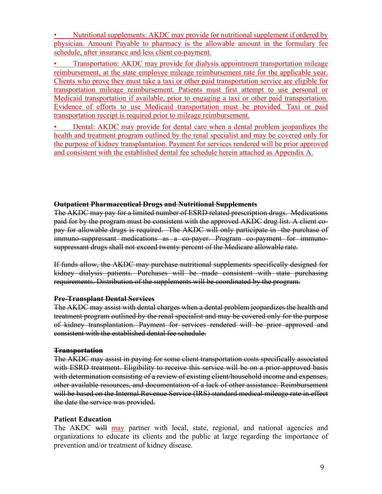• Nutritional supplements: AKDC may provide for nutritional supplement if ordered by physician. Amount Payable to pharmacy is the allowable amount in the formulary fee schedule, after insurance and less client co-payment.

• Transportation: AKDC may provide for dialysis appointment transportation mileage reimbursement, at the state employee mileage reimbursement rate for the applicable year. Clients who prove they must take a taxi or other paid transportation service are eligible for transportation mileage reimbursement. Patients must first attempt to use personal or Medicaid transportation if available, prior to engaging a taxi or other paid transportation. Evidence of efforts to use Medicaid transportation must be provided. Taxi or paid transportation receipt is required prior to mileage reimbursement.

• Dental: AKDC may provide for dental care when a dental problem jeopardizes the health and treatment program outlined by the renal specialist and may be covered only for the purpose of kidney transplantation. Payment for services rendered will be prior approved and consistent with the established dental fee schedule herein attached as Appendix A.

#### **Outpatient Pharmaceutical Drugs and Nutritional Supplements**

The AKDC may pay for a limited number of ESRD related prescription drugs. Medications paid for by the program must be consistent with the approved AKDC drug list. A client copay for allowable drugs is required. The AKDC will only participate in the purchase of immuno-suppressant medications as a co-payer. Program co-payment for immunosuppressant drugs shall not exceed twenty percent of the Medicare allowable rate.

If funds allow, the AKDC may purchase nutritional supplements specifically designed for kidney dialysis patients. Purchases will be made consistent with state purchasing requirements. Distribution of the supplements will be coordinated by the program.

#### **Pre-Transplant Dental Services**

The AKDC may assist with dental charges when a dental problem jeopardizes the health and treatment program outlined by the renal specialist and may be covered only for the purpose of kidney transplantation. Payment for services rendered will be prior approved and consistent with the established dental fee schedule.

#### **Transportation**

The AKDC may assist in paying for some client transportation costs specifically associated with ESRD treatment. Eligibility to receive this service will be on a prior-approved basis with determination consisting of a review of existing client/household income and expenses, other available resources, and documentation of a lack of other assistance. Reimbursement will be based on the Internal Revenue Service (IRS) standard medical mileage rate in effect the date the service was provided.

### **Patient Education**

The AKDC will may partner with local, state, regional, and national agencies and organizations to educate its clients and the public at large regarding the importance of prevention and/or treatment of kidney disease.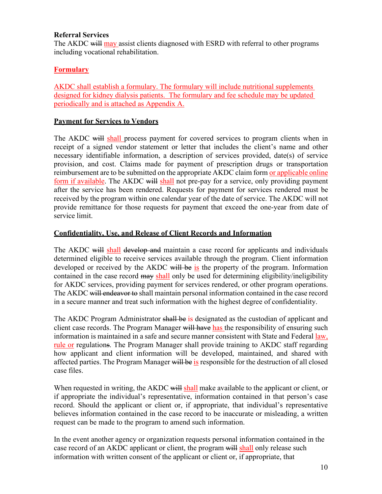#### **Referral Services**

The AKDC will may assist clients diagnosed with ESRD with referral to other programs including vocational rehabilitation.

### **Formulary**

AKDC shall establish a formulary. The formulary will include nutritional supplements designed for kidney dialysis patients. The formulary and fee schedule may be updated periodically and is attached as Appendix A.

#### **Payment for Services to Vendors**

The AKDC will shall process payment for covered services to program clients when in receipt of a signed vendor statement or letter that includes the client's name and other necessary identifiable information, a description of services provided, date(s) of service provision, and cost. Claims made for payment of prescription drugs or transportation reimbursement are to be submitted on the appropriate AKDC claim form or applicable online form if available. The AKDC will shall not pre-pay for a service, only providing payment after the service has been rendered. Requests for payment for services rendered must be received by the program within one calendar year of the date of service. The AKDC will not provide remittance for those requests for payment that exceed the one-year from date of service limit.

#### **Confidentiality, Use, and Release of Client Records and Information**

The AKDC will shall develop and maintain a case record for applicants and individuals determined eligible to receive services available through the program. Client information developed or received by the AKDC will be is the property of the program. Information contained in the case record may shall only be used for determining eligibility/ineligibility for AKDC services, providing payment for services rendered, or other program operations. The AKDC will endeavor to shall maintain personal information contained in the case record in a secure manner and treat such information with the highest degree of confidentiality.

The AKDC Program Administrator shall be is designated as the custodian of applicant and client case records. The Program Manager will have has the responsibility of ensuring such information is maintained in a safe and secure manner consistent with State and Federal law, rule or regulations. The Program Manager shall provide training to AKDC staff regarding how applicant and client information will be developed, maintained, and shared with affected parties. The Program Manager will be is responsible for the destruction of all closed case files.

When requested in writing, the AKDC will shall make available to the applicant or client, or if appropriate the individual's representative, information contained in that person's case record. Should the applicant or client or, if appropriate, that individual's representative believes information contained in the case record to be inaccurate or misleading, a written request can be made to the program to amend such information.

In the event another agency or organization requests personal information contained in the case record of an AKDC applicant or client, the program will shall only release such information with written consent of the applicant or client or, if appropriate, that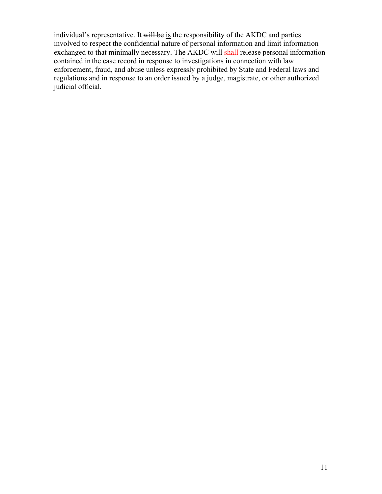individual's representative. It will be is the responsibility of the AKDC and parties involved to respect the confidential nature of personal information and limit information exchanged to that minimally necessary. The AKDC will shall release personal information contained in the case record in response to investigations in connection with law enforcement, fraud, and abuse unless expressly prohibited by State and Federal laws and regulations and in response to an order issued by a judge, magistrate, or other authorized judicial official.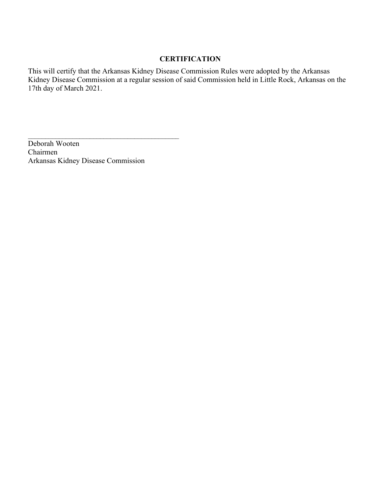### **CERTIFICATION**

This will certify that the Arkansas Kidney Disease Commission Rules were adopted by the Arkansas Kidney Disease Commission at a regular session of said Commission held in Little Rock, Arkansas on the 17th day of March 2021.

Deborah Wooten Chairmen Arkansas Kidney Disease Commission

 $\mathcal{L}_\text{max}$  , and the set of the set of the set of the set of the set of the set of the set of the set of the set of the set of the set of the set of the set of the set of the set of the set of the set of the set of the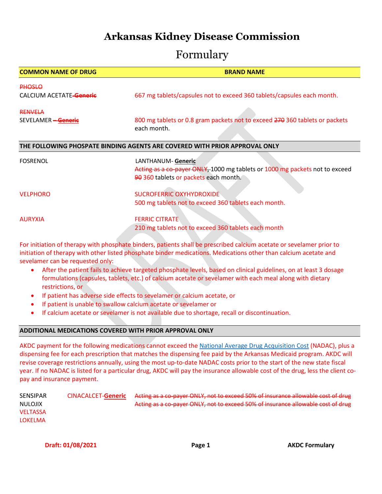# **Arkansas Kidney Disease Commission**

# Formulary

| <b>COMMON NAME OF DRUG</b> | <b>BRAND NAME</b>                                                                          |
|----------------------------|--------------------------------------------------------------------------------------------|
| <b>PHOSLO</b>              |                                                                                            |
| CALCIUM ACETATE-Generic    | 667 mg tablets/capsules not to exceed 360 tablets/capsules each month.                     |
| <b>RENVELA</b>             |                                                                                            |
| SEVELAMER - Generic        | 800 mg tablets or 0.8 gram packets not to exceed 270 360 tablets or packets<br>each month. |
|                            |                                                                                            |
|                            | THE FOLLOWING PHOSPATE BINDING AGENTS ARE COVERED WITH PRIOR APPROVAL ONLY                 |
| <b>FOSRENOL</b>            | LANTHANUM- Generic                                                                         |
|                            | Acting as a co-payer ONLY, 1000 mg tablets or 1000 mg packets not to exceed                |
|                            | 90 360 tablets or packets each month.                                                      |
| <b>VELPHORO</b>            | SUCROFERRIC OXYHYDROXIDE                                                                   |
|                            |                                                                                            |
|                            | 500 mg tablets not to exceed 360 tablets each month.                                       |
| <b>AURYXIA</b>             | <b>FERRIC CITRATE</b>                                                                      |
|                            | 210 mg tablets not to exceed 360 tablets each month                                        |

For initiation of therapy with phosphate binders, patients shall be prescribed calcium acetate or sevelamer prior to initiation of therapy with other listed phosphate binder medications. Medications other than calcium acetate and sevelamer can be requested only:

- After the patient fails to achieve targeted phosphate levels, based on clinical guidelines, on at least 3 dosage formulations (capsules, tablets, etc.) of calcium acetate or sevelamer with each meal along with dietary restrictions, or
- If patient has adverse side effects to sevelamer or calcium acetate, or
- If patient is unable to swallow calcium acetate or sevelamer or
- If calcium acetate or sevelamer is not available due to shortage, recall or discontinuation.

#### **ADDITIONAL MEDICATIONS COVERED WITH PRIOR APPROVAL ONLY**

AKDC payment for the following medications cannot exceed th[e National Average Drug Acquisition Cost](https://data.medicaid.gov/Drug-Pricing-and-Payment/NADAC-National-Average-Drug-Acquisition-Cost-/a4y5-998d) (NADAC), plus a dispensing fee for each prescription that matches the dispensing fee paid by the Arkansas Medicaid program. AKDC will revise coverage restrictions annually, using the most up-to-date NADAC costs prior to the start of the new state fiscal year. If no NADAC is listed for a particular drug, AKDC will pay the insurance allowable cost of the drug, less the client copay and insurance payment.

| <b>SENSIPAR</b> | CINACALCET- <b>Generic</b> | Acting as a co-payer ONLY, not to exceed 50% of insurance allowable cost of drug |
|-----------------|----------------------------|----------------------------------------------------------------------------------|
| NULOJIX         |                            | Acting as a co-payer ONLY, not to exceed 50% of insurance allowable cost of drug |
| <b>VELTASSA</b> |                            |                                                                                  |
| <b>LOKELMA</b>  |                            |                                                                                  |
|                 |                            |                                                                                  |

**Draft: 01/08/2021 Case 20:00:00 Page 1 AKDC Formulary**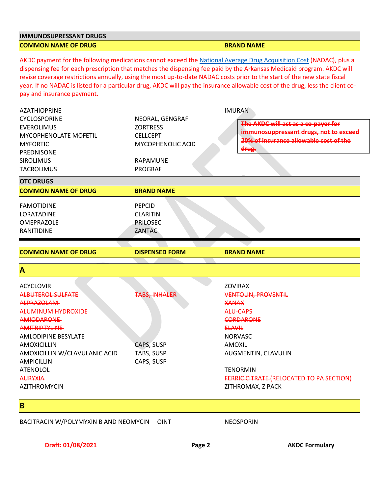#### **IMMUNOSUPRESSANT DRUGS COMMON NAME OF DRUG BRAND NAME OF DRUG BRAND NAME**

AKDC payment for the following medications cannot exceed th[e National Average Drug Acquisition Cost](https://data.medicaid.gov/Drug-Pricing-and-Payment/NADAC-National-Average-Drug-Acquisition-Cost-/a4y5-998d) (NADAC), plus a dispensing fee for each prescription that matches the dispensing fee paid by the Arkansas Medicaid program. AKDC will revise coverage restrictions annually, using the most up-to-date NADAC costs prior to the start of the new state fiscal year. If no NADAC is listed for a particular drug, AKDC will pay the insurance allowable cost of the drug, less the client copay and insurance payment.

| <b>AZATHIOPRINE</b>           |                       | <b>IMURAN</b>                                   |
|-------------------------------|-----------------------|-------------------------------------------------|
| <b>CYCLOSPORINE</b>           | NEORAL, GENGRAF       |                                                 |
| <b>EVEROLIMUS</b>             | <b>ZORTRESS</b>       | The AKDC will act as a co-payer for             |
| MYCOPHENOLATE MOFETIL         | <b>CELLCEPT</b>       | immunosuppressant drugs, not to exceed          |
| <b>MYFORTIC</b>               | MYCOPHENOLIC ACID     | 20% of insurance allowable cost of the          |
| PREDNISONE                    |                       | drug.                                           |
| <b>SIROLIMUS</b>              | RAPAMUNE              |                                                 |
| <b>TACROLIMUS</b>             | <b>PROGRAF</b>        |                                                 |
| <b>OTC DRUGS</b>              |                       |                                                 |
| <b>COMMON NAME OF DRUG</b>    | <b>BRAND NAME</b>     |                                                 |
| <b>FAMOTIDINE</b>             | <b>PEPCID</b>         |                                                 |
| LORATADINE                    | <b>CLARITIN</b>       |                                                 |
| <b>OMEPRAZOLE</b>             | <b>PRILOSEC</b>       |                                                 |
| RANITIDINE                    | ZANTAC                |                                                 |
|                               |                       |                                                 |
| <b>COMMON NAME OF DRUG</b>    | <b>DISPENSED FORM</b> | <b>BRAND NAME</b>                               |
| A                             |                       |                                                 |
| <b>ACYCLOVIR</b>              |                       | <b>ZOVIRAX</b>                                  |
| <b>ALBUTEROL SULFATE</b>      | TABS. INHALER         | <b>VENTOLIN, PROVENTIL</b>                      |
| ALPRAZOLAM-                   |                       | <b>XANAX</b>                                    |
| ALUMINUM HYDROXIDE            |                       | ALU-CAPS                                        |
| <b>AMIODARONE</b>             |                       | <b>CORDARONE</b>                                |
| AMITRIPTYLINE                 |                       | <b>ELAVIL</b>                                   |
| <b>AMLODIPINE BESYLATE</b>    |                       | <b>NORVASC</b>                                  |
| <b>AMOXICILLIN</b>            | CAPS, SUSP            | <b>AMOXIL</b>                                   |
| AMOXICILLIN W/CLAVULANIC ACID | TABS, SUSP            | AUGMENTIN, CLAVULIN                             |
| <b>AMPICILLIN</b>             | CAPS, SUSP            |                                                 |
| <b>ATENOLOL</b>               |                       | <b>TENORMIN</b>                                 |
| <b>AURYXIA</b>                |                       | <b>FERRIC CITRATE (RELOCATED TO PA SECTION)</b> |
| <b>AZITHROMYCIN</b>           |                       | ZITHROMAX, Z PACK                               |
|                               |                       |                                                 |
| B                             |                       |                                                 |

**Draft: 01/08/2021 Page 2** AKDC Formulary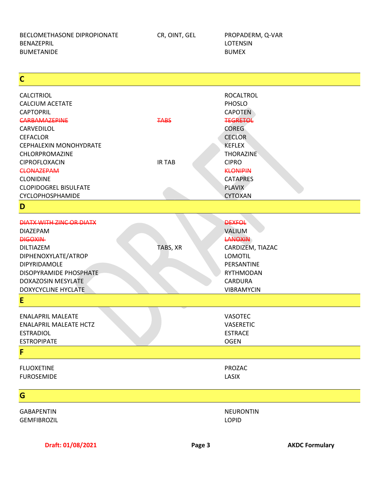BECLOMETHASONE DIPROPIONATE CR, OINT, GEL PROPADERM, Q-VAR BENAZEPRIL **EXECUTED ASSESSED ASSESSED ASSESSED A** LOTENSIN BUMETANIDE **BUMEX** 

**C**

| <b>CALCITRIOL</b>               |              | <b>ROCALTROL</b>  |
|---------------------------------|--------------|-------------------|
| <b>CALCIUM ACETATE</b>          |              | PHOSLO            |
| <b>CAPTOPRIL</b>                |              | <b>CAPOTEN</b>    |
| <b>CARBAMAZEPINE</b>            | <b>TABS</b>  | <b>TEGRETOL</b>   |
| CARVEDILOL                      |              | <b>COREG</b>      |
| <b>CEFACLOR</b>                 |              | <b>CECLOR</b>     |
| <b>CEPHALEXIN MONOHYDRATE</b>   |              | <b>KEFLEX</b>     |
| CHLORPROMAZINE                  |              | <b>THORAZINE</b>  |
| <b>CIPROFLOXACIN</b>            | <b>IRTAB</b> | <b>CIPRO</b>      |
| <b>CLONAZEPAM</b>               |              | <b>KLONIPIN</b>   |
| <b>CLONIDINE</b>                |              | <b>CATAPRES</b>   |
| <b>CLOPIDOGREL BISULFATE</b>    |              | <b>PLAVIX</b>     |
| CYCLOPHOSPHAMIDE                |              | <b>CYTOXAN</b>    |
| D                               |              |                   |
|                                 |              |                   |
| <b>DIATX WITH ZINC OR DIATX</b> |              | <b>DEXFOL</b>     |
| <b>DIAZEPAM</b>                 |              | <b>VALIUM</b>     |
| <b>DIGOXIN-</b>                 |              | <b>LANOXIN</b>    |
| <b>DILTIAZEM</b>                | TABS, XR     | CARDIZEM, TIAZAC  |
| DIPHENOXYLATE/ATROP             |              | <b>LOMOTIL</b>    |
| DIPYRIDAMOLE                    |              | PERSANTINE        |
| DISOPYRAMIDE PHOSPHATE          |              | <b>RYTHMODAN</b>  |
| <b>DOXAZOSIN MESYLATE</b>       |              | CARDURA           |
| DOXYCYCLINE HYCLATE             |              | <b>VIBRAMYCIN</b> |
| E                               |              |                   |
|                                 |              |                   |
| <b>ENALAPRIL MALEATE</b>        |              | <b>VASOTEC</b>    |
| <b>ENALAPRIL MALEATE HCTZ</b>   |              | <b>VASERETIC</b>  |
| <b>ESTRADIOL</b>                |              | <b>ESTRACE</b>    |
| <b>ESTROPIPATE</b>              |              | <b>OGEN</b>       |
| F                               |              |                   |
|                                 |              |                   |
| <b>FLUOXETINE</b>               |              | PROZAC            |
| <b>FUROSEMIDE</b>               |              | LASIX             |
| G                               |              |                   |
| <b>GABAPENTIN</b>               |              | <b>NEURONTIN</b>  |
| <b>GEMFIBROZIL</b>              |              | <b>LOPID</b>      |
|                                 |              |                   |

**Draft: 01/08/2021 Page 3** AKDC Formulary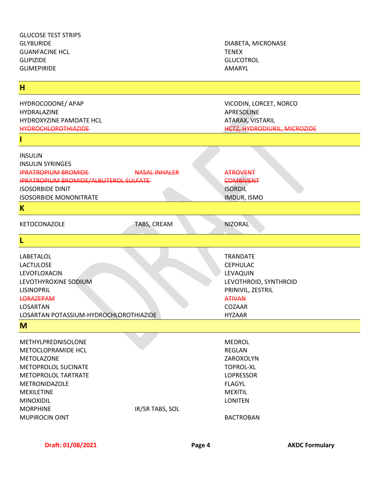| <b>JLIIVILI IINDL</b>                         |                      | <b>NIVIAI\IL</b>                     |
|-----------------------------------------------|----------------------|--------------------------------------|
| H                                             |                      |                                      |
| HYDROCODONE/ APAP<br>HYDRALAZINE              |                      | VICODIN, LORCET, NORCO<br>APRESOLINE |
| HYDROXYZINE PAMOATE HCL                       |                      | ATARAX, VISTARIL                     |
| <b>HYDROCHLOROTHIAZIDE</b>                    |                      | <b>HCTZ, HYDRODIURIL, MICROZIDE</b>  |
|                                               |                      |                                      |
| <b>INSULIN</b>                                |                      |                                      |
| <b>INSULIN SYRINGES</b>                       |                      |                                      |
| <b>IPRATROPIUM BROMIDE</b>                    | <b>NASAL INHALER</b> | <b>ATROVENT</b>                      |
| <b>IPRATROPIUM BROMIDE/ALBUTEROL SULFATE-</b> |                      | <b>COMBIVENT</b>                     |
| <b>ISOSORBIDE DINIT</b>                       |                      | <b>ISORDIL</b>                       |
| <b>ISOSORBIDE MONONITRATE</b>                 |                      | IMDUR, ISMO                          |
| K                                             |                      |                                      |
| KETOCONAZOLE                                  | TABS, CREAM          | <b>NIZORAL</b>                       |
| L                                             |                      |                                      |
| LABETALOL                                     |                      | <b>TRANDATE</b>                      |
| <b>LACTULOSE</b>                              |                      | <b>CEPHULAC</b>                      |
| LEVOFLOXACIN                                  |                      | LEVAQUIN                             |
| LEVOTHYROXINE SODIUM                          |                      | LEVOTHROID, SYNTHROID                |
| <b>LISINOPRIL</b>                             |                      | PRINIVIL, ZESTRIL                    |
| <b>LORAZEPAM</b>                              |                      | <b>ATIVAN</b>                        |
| LOSARTAN                                      |                      | <b>COZAAR</b>                        |
| LOSARTAN POTASSIUM-HYDROCHLOROTHIAZIDE        |                      | <b>HYZAAR</b>                        |
| M                                             |                      |                                      |
| METHYLPREDNISOLONE                            |                      | <b>MEDROL</b>                        |
| METOCLOPRAMIDE HCL                            |                      | REGLAN                               |
| <b>METOLAZONE</b>                             |                      | ZAROXOLYN                            |
| METOPROLOL SUCINATE                           |                      | <b>TOPROL-XL</b>                     |
| METOPROLOL TARTRATE                           |                      | <b>LOPRESSOR</b>                     |
| METRONIDAZOLE                                 |                      | <b>FLAGYL</b>                        |
| <b>MEXILETINE</b>                             |                      | <b>MEXITIL</b>                       |
| <b>MINOXIDIL</b>                              |                      | <b>LONITEN</b>                       |
| <b>MORPHINE</b>                               | IR/SR TABS, SOL      |                                      |
| <b>MUPIROCIN OINT</b>                         |                      | <b>BACTROBAN</b>                     |
|                                               |                      |                                      |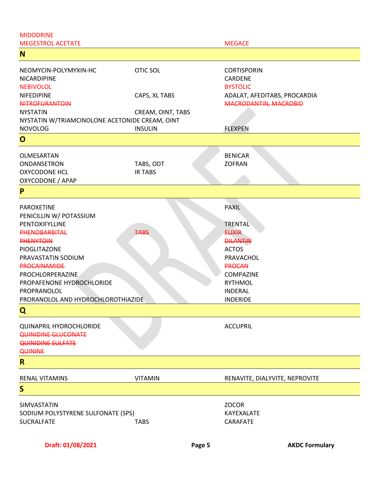| <b>MIDODRINE</b>                                                                                                                                                                                                                                                                   |                             |                                                                                                                                                                                             |
|------------------------------------------------------------------------------------------------------------------------------------------------------------------------------------------------------------------------------------------------------------------------------------|-----------------------------|---------------------------------------------------------------------------------------------------------------------------------------------------------------------------------------------|
| <b>MEGESTROL ACETATE</b>                                                                                                                                                                                                                                                           |                             | <b>MEGACE</b>                                                                                                                                                                               |
| N                                                                                                                                                                                                                                                                                  |                             |                                                                                                                                                                                             |
| NEOMYCIN-POLYMYXIN-HC<br>NICARDIPINE<br><b>NEBIVOLOL</b>                                                                                                                                                                                                                           | <b>OTIC SOL</b>             | <b>CORTISPORIN</b><br>CARDENE<br><b>BYSTOLIC</b>                                                                                                                                            |
| NIFEDIPINE<br><b>NITROFURANTOIN</b>                                                                                                                                                                                                                                                | CAPS, XL TABS               | ADALAT, AFEDITABS, PROCARDIA<br><b>MACRODANTIN, MACROBID</b>                                                                                                                                |
| <b>NYSTATIN</b><br>NYSTATIN W/TRIAMCINOLONE ACETONIDE CREAM, OINT                                                                                                                                                                                                                  | CREAM, OINT, TABS           |                                                                                                                                                                                             |
| <b>NOVOLOG</b>                                                                                                                                                                                                                                                                     | <b>INSULIN</b>              | <b>FLEXPEN</b>                                                                                                                                                                              |
| $\mathbf{O}$                                                                                                                                                                                                                                                                       |                             |                                                                                                                                                                                             |
| OLMESARTAN<br>ONDANSETRON<br><b>OXYCODONE HCL</b><br>OXYCODONE / APAP                                                                                                                                                                                                              | TABS, ODT<br><b>IR TABS</b> | <b>BENICAR</b><br><b>ZOFRAN</b>                                                                                                                                                             |
| P                                                                                                                                                                                                                                                                                  |                             |                                                                                                                                                                                             |
| <b>PAROXETINE</b><br>PENICILLIN W/ POTASSIUM<br>PENTOXIFYLLINE<br><b>PHENOBARBITAL</b><br><b>PHENYTOIN</b><br>PIOGLITAZONE<br>PRAVASTATIN SODIUM<br><b>PROCAINAMIDE</b><br>PROCHLORPERAZINE<br>PROPAFENONE HYDROCHLORIDE<br>PROPRANOLOL<br>PRORANOLOL AND HYDROCHLOROTHIAZIDE<br>Q | <b>TABS</b>                 | <b>PAXIL</b><br><b>TRENTAL</b><br><b>ELIXIR</b><br><b>DILANTIN</b><br><b>ACTOS</b><br>PRAVACHOL<br><b>PROCAN</b><br><b>COMPAZINE</b><br><b>RYTHMOL</b><br><b>INDERAL</b><br><b>INDERIDE</b> |
| <b>QUINAPRIL HYDROCHLORIDE</b><br><b>QUINIDINE GLUCONATE</b><br><b>QUINIDINE SULFATE</b><br><b>QUININE</b>                                                                                                                                                                         |                             | <b>ACCUPRIL</b>                                                                                                                                                                             |
| $\mathsf{R}$                                                                                                                                                                                                                                                                       |                             |                                                                                                                                                                                             |
| <b>RENAL VITAMINS</b>                                                                                                                                                                                                                                                              | <b>VITAMIN</b>              | RENAVITE, DIALYVITE, NEPROVITE                                                                                                                                                              |
| S                                                                                                                                                                                                                                                                                  |                             |                                                                                                                                                                                             |
| SIMVASTATIN<br>SODIUM POLYSTYRENE SULFONATE (SPS)<br><b>SUCRALFATE</b>                                                                                                                                                                                                             | <b>TABS</b>                 | <b>ZOCOR</b><br>KAYEXALATE<br>CARAFATE                                                                                                                                                      |
| Draft: 01/08/2021                                                                                                                                                                                                                                                                  | Page 5                      | <b>AKDC Formulary</b>                                                                                                                                                                       |